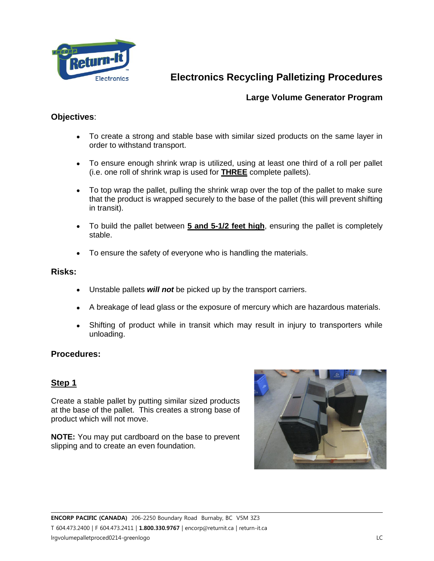

## **Large Volume Generator Program**

### **Objectives**:

- To create a strong and stable base with similar sized products on the same layer in order to withstand transport.
- To ensure enough shrink wrap is utilized, using at least one third of a roll per pallet (i.e. one roll of shrink wrap is used for **THREE** complete pallets).
- To top wrap the pallet, pulling the shrink wrap over the top of the pallet to make sure that the product is wrapped securely to the base of the pallet (this will prevent shifting in transit).
- To build the pallet between **5 and 5-1/2 feet high**, ensuring the pallet is completely stable.
- To ensure the safety of everyone who is handling the materials.

#### **Risks:**

- Unstable pallets *will not* be picked up by the transport carriers.
- A breakage of lead glass or the exposure of mercury which are hazardous materials.
- Shifting of product while in transit which may result in injury to transporters while unloading.

#### **Procedures:**

#### **Step 1**

Create a stable pallet by putting similar sized products at the base of the pallet. This creates a strong base of product which will not move.

**NOTE:** You may put cardboard on the base to prevent slipping and to create an even foundation.

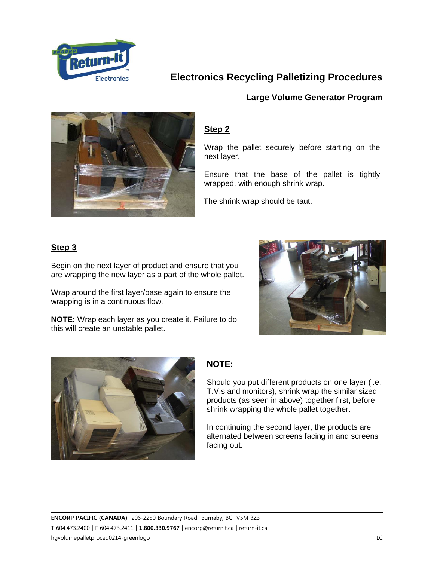

#### **Large Volume Generator Program**



### **Step 2**

Wrap the pallet securely before starting on the next layer.

Ensure that the base of the pallet is tightly wrapped, with enough shrink wrap.

The shrink wrap should be taut.

## **Step 3**

Begin on the next layer of product and ensure that you are wrapping the new layer as a part of the whole pallet.

Wrap around the first layer/base again to ensure the wrapping is in a continuous flow.

**NOTE:** Wrap each layer as you create it. Failure to do this will create an unstable pallet.





## **NOTE:**

Should you put different products on one layer (i.e. T.V.s and monitors), shrink wrap the similar sized products (as seen in above) together first, before shrink wrapping the whole pallet together.

In continuing the second layer, the products are alternated between screens facing in and screens facing out.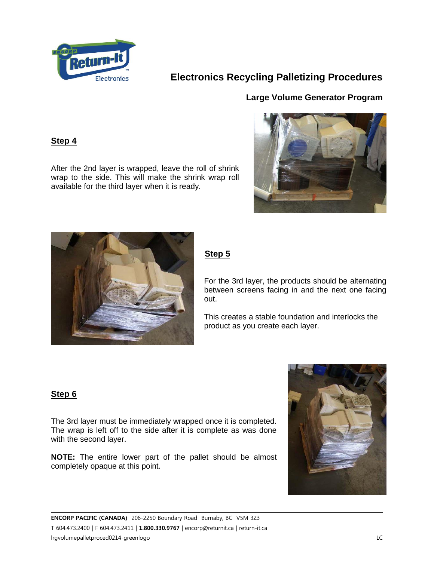

### **Large Volume Generator Program**

#### **Step 4**

After the 2nd layer is wrapped, leave the roll of shrink wrap to the side. This will make the shrink wrap roll available for the third layer when it is ready.





## **Step 5**

For the 3rd layer, the products should be alternating between screens facing in and the next one facing out.

This creates a stable foundation and interlocks the product as you create each layer.

#### **Step 6**

The 3rd layer must be immediately wrapped once it is completed. The wrap is left off to the side after it is complete as was done with the second layer.

**NOTE:** The entire lower part of the pallet should be almost completely opaque at this point.

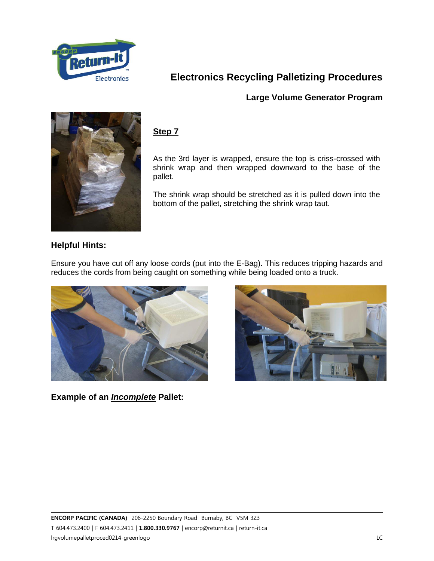

## **Large Volume Generator Program**



## **Step 7**

As the 3rd layer is wrapped, ensure the top is criss-crossed with shrink wrap and then wrapped downward to the base of the pallet.

The shrink wrap should be stretched as it is pulled down into the bottom of the pallet, stretching the shrink wrap taut.

## **Helpful Hints:**

Ensure you have cut off any loose cords (put into the E-Bag). This reduces tripping hazards and reduces the cords from being caught on something while being loaded onto a truck.



**Example of an** *Incomplete* **Pallet:**

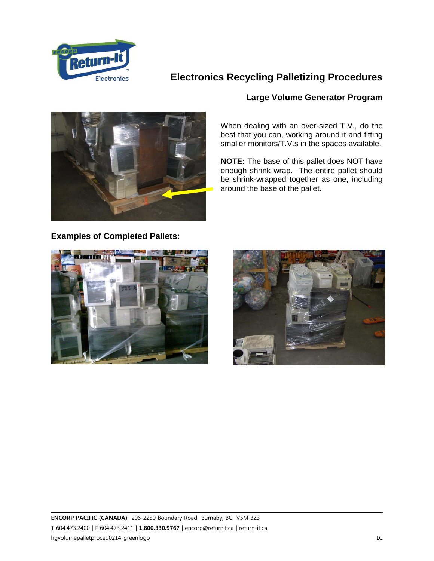



#### **Large Volume Generator Program**

When dealing with an over-sized T.V., do the best that you can, working around it and fitting smaller monitors/T.V.s in the spaces available.

**NOTE:** The base of this pallet does NOT have enough shrink wrap. The entire pallet should be shrink-wrapped together as one, including around the base of the pallet.

**Examples of Completed Pallets:**